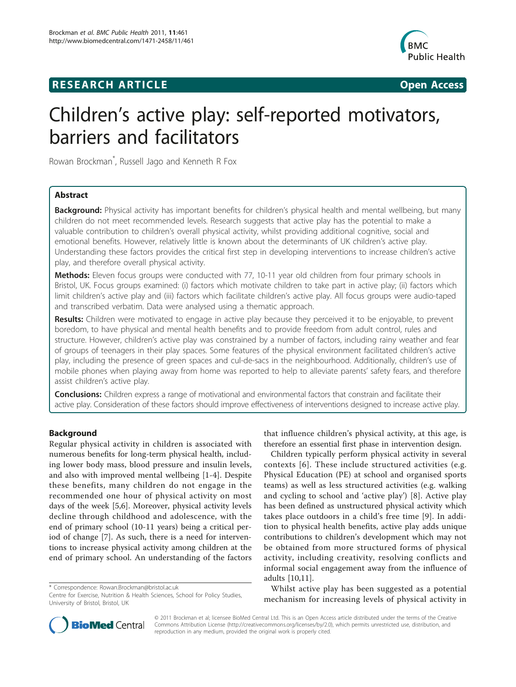## **RESEARCH ARTICLE Example 2018 12:30 THE Open Access**



# Children's active play: self-reported motivators, barriers and facilitators

Rowan Brockman\* , Russell Jago and Kenneth R Fox

### Abstract

Background: Physical activity has important benefits for children's physical health and mental wellbeing, but many children do not meet recommended levels. Research suggests that active play has the potential to make a valuable contribution to children's overall physical activity, whilst providing additional cognitive, social and emotional benefits. However, relatively little is known about the determinants of UK children's active play. Understanding these factors provides the critical first step in developing interventions to increase children's active play, and therefore overall physical activity.

Methods: Eleven focus groups were conducted with 77, 10-11 year old children from four primary schools in Bristol, UK. Focus groups examined: (i) factors which motivate children to take part in active play; (ii) factors which limit children's active play and (iii) factors which facilitate children's active play. All focus groups were audio-taped and transcribed verbatim. Data were analysed using a thematic approach.

Results: Children were motivated to engage in active play because they perceived it to be enjoyable, to prevent boredom, to have physical and mental health benefits and to provide freedom from adult control, rules and structure. However, children's active play was constrained by a number of factors, including rainy weather and fear of groups of teenagers in their play spaces. Some features of the physical environment facilitated children's active play, including the presence of green spaces and cul-de-sacs in the neighbourhood. Additionally, children's use of mobile phones when playing away from home was reported to help to alleviate parents' safety fears, and therefore assist children's active play.

Conclusions: Children express a range of motivational and environmental factors that constrain and facilitate their active play. Consideration of these factors should improve effectiveness of interventions designed to increase active play.

#### Background

Regular physical activity in children is associated with numerous benefits for long-term physical health, including lower body mass, blood pressure and insulin levels, and also with improved mental wellbeing [[1-4\]](#page-5-0). Despite these benefits, many children do not engage in the recommended one hour of physical activity on most days of the week [[5,6\]](#page-5-0). Moreover, physical activity levels decline through childhood and adolescence, with the end of primary school (10-11 years) being a critical period of change [[7\]](#page-5-0). As such, there is a need for interventions to increase physical activity among children at the end of primary school. An understanding of the factors

that influence children's physical activity, at this age, is therefore an essential first phase in intervention design.

Children typically perform physical activity in several contexts [[6\]](#page-5-0). These include structured activities (e.g. Physical Education (PE) at school and organised sports teams) as well as less structured activities (e.g. walking and cycling to school and 'active play') [\[8](#page-5-0)]. Active play has been defined as unstructured physical activity which takes place outdoors in a child's free time [[9\]](#page-5-0). In addition to physical health benefits, active play adds unique contributions to children's development which may not be obtained from more structured forms of physical activity, including creativity, resolving conflicts and informal social engagement away from the influence of adults [\[10,11](#page-5-0)].

Whilst active play has been suggested as a potential mechanism for increasing levels of physical activity in



© 2011 Brockman et al; licensee BioMed Central Ltd. This is an Open Access article distributed under the terms of the Creative Commons Attribution License [\(http://creativecommons.org/licenses/by/2.0](http://creativecommons.org/licenses/by/2.0)), which permits unrestricted use, distribution, and reproduction in any medium, provided the original work is properly cited.

<sup>\*</sup> Correspondence: [Rowan.Brockman@bristol.ac.uk](mailto:Rowan.Brockman@bristol.ac.uk)

Centre for Exercise, Nutrition & Health Sciences, School for Policy Studies, University of Bristol, Bristol, UK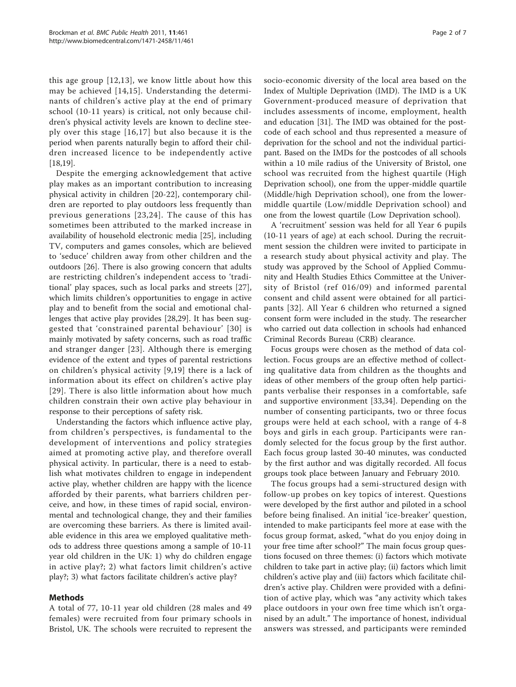this age group [[12,13\]](#page-5-0), we know little about how this may be achieved [[14](#page-5-0),[15](#page-5-0)]. Understanding the determinants of children's active play at the end of primary school (10-11 years) is critical, not only because children's physical activity levels are known to decline steeply over this stage [[16](#page-6-0),[17](#page-6-0)] but also because it is the period when parents naturally begin to afford their children increased licence to be independently active [[18,19\]](#page-6-0).

Despite the emerging acknowledgement that active play makes as an important contribution to increasing physical activity in children [\[20](#page-6-0)-[22\]](#page-6-0), contemporary children are reported to play outdoors less frequently than previous generations [[23](#page-6-0),[24\]](#page-6-0). The cause of this has sometimes been attributed to the marked increase in availability of household electronic media [\[25\]](#page-6-0), including TV, computers and games consoles, which are believed to 'seduce' children away from other children and the outdoors [[26](#page-6-0)]. There is also growing concern that adults are restricting children's independent access to 'traditional' play spaces, such as local parks and streets [[27](#page-6-0)], which limits children's opportunities to engage in active play and to benefit from the social and emotional challenges that active play provides [[28,29\]](#page-6-0). It has been suggested that 'constrained parental behaviour' [[30](#page-6-0)] is mainly motivated by safety concerns, such as road traffic and stranger danger [[23](#page-6-0)]. Although there is emerging evidence of the extent and types of parental restrictions on children's physical activity [[9,](#page-5-0)[19](#page-6-0)] there is a lack of information about its effect on children's active play [[29](#page-6-0)]. There is also little information about how much children constrain their own active play behaviour in response to their perceptions of safety risk.

Understanding the factors which influence active play, from children's perspectives, is fundamental to the development of interventions and policy strategies aimed at promoting active play, and therefore overall physical activity. In particular, there is a need to establish what motivates children to engage in independent active play, whether children are happy with the licence afforded by their parents, what barriers children perceive, and how, in these times of rapid social, environmental and technological change, they and their families are overcoming these barriers. As there is limited available evidence in this area we employed qualitative methods to address three questions among a sample of 10-11 year old children in the UK: 1) why do children engage in active play?; 2) what factors limit children's active play?; 3) what factors facilitate children's active play?

#### Methods

A total of 77, 10-11 year old children (28 males and 49 females) were recruited from four primary schools in Bristol, UK. The schools were recruited to represent the socio-economic diversity of the local area based on the Index of Multiple Deprivation (IMD). The IMD is a UK Government-produced measure of deprivation that includes assessments of income, employment, health and education [\[31](#page-6-0)]. The IMD was obtained for the postcode of each school and thus represented a measure of deprivation for the school and not the individual participant. Based on the IMDs for the postcodes of all schools within a 10 mile radius of the University of Bristol, one school was recruited from the highest quartile (High Deprivation school), one from the upper-middle quartile (Middle/high Deprivation school), one from the lowermiddle quartile (Low/middle Deprivation school) and one from the lowest quartile (Low Deprivation school).

A 'recruitment' session was held for all Year 6 pupils (10-11 years of age) at each school. During the recruitment session the children were invited to participate in a research study about physical activity and play. The study was approved by the School of Applied Community and Health Studies Ethics Committee at the University of Bristol (ref 016/09) and informed parental consent and child assent were obtained for all participants [[32](#page-6-0)]. All Year 6 children who returned a signed consent form were included in the study. The researcher who carried out data collection in schools had enhanced Criminal Records Bureau (CRB) clearance.

Focus groups were chosen as the method of data collection. Focus groups are an effective method of collecting qualitative data from children as the thoughts and ideas of other members of the group often help participants verbalise their responses in a comfortable, safe and supportive environment [\[33,34](#page-6-0)]. Depending on the number of consenting participants, two or three focus groups were held at each school, with a range of 4-8 boys and girls in each group. Participants were randomly selected for the focus group by the first author. Each focus group lasted 30-40 minutes, was conducted by the first author and was digitally recorded. All focus groups took place between January and February 2010.

The focus groups had a semi-structured design with follow-up probes on key topics of interest. Questions were developed by the first author and piloted in a school before being finalised. An initial 'ice-breaker' question, intended to make participants feel more at ease with the focus group format, asked, "what do you enjoy doing in your free time after school?" The main focus group questions focused on three themes: (i) factors which motivate children to take part in active play; (ii) factors which limit children's active play and (iii) factors which facilitate children's active play. Children were provided with a definition of active play, which was "any activity which takes place outdoors in your own free time which isn't organised by an adult." The importance of honest, individual answers was stressed, and participants were reminded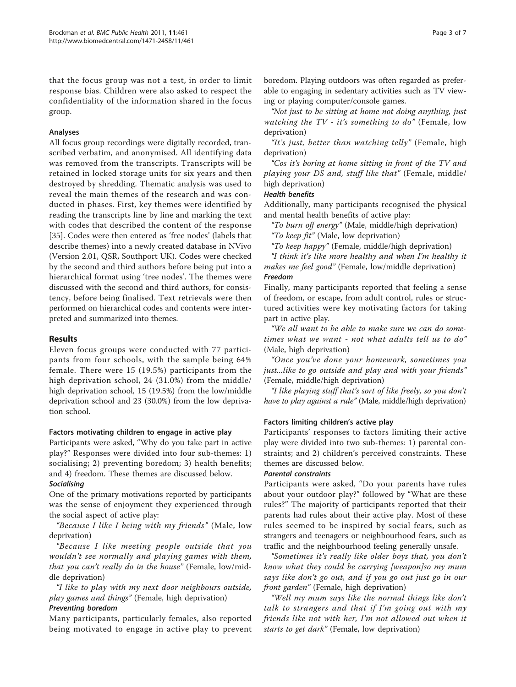that the focus group was not a test, in order to limit response bias. Children were also asked to respect the confidentiality of the information shared in the focus group.

#### Analyses

All focus group recordings were digitally recorded, transcribed verbatim, and anonymised. All identifying data was removed from the transcripts. Transcripts will be retained in locked storage units for six years and then destroyed by shredding. Thematic analysis was used to reveal the main themes of the research and was conducted in phases. First, key themes were identified by reading the transcripts line by line and marking the text with codes that described the content of the response [[35\]](#page-6-0). Codes were then entered as 'free nodes' (labels that describe themes) into a newly created database in NVivo (Version 2.01, QSR, Southport UK). Codes were checked by the second and third authors before being put into a hierarchical format using 'tree nodes'. The themes were discussed with the second and third authors, for consistency, before being finalised. Text retrievals were then performed on hierarchical codes and contents were interpreted and summarized into themes.

#### Results

Eleven focus groups were conducted with 77 participants from four schools, with the sample being 64% female. There were 15 (19.5%) participants from the high deprivation school, 24 (31.0%) from the middle/ high deprivation school, 15 (19.5%) from the low/middle deprivation school and 23 (30.0%) from the low deprivation school.

#### Factors motivating children to engage in active play

Participants were asked, "Why do you take part in active play?" Responses were divided into four sub-themes: 1) socialising; 2) preventing boredom; 3) health benefits; and 4) freedom. These themes are discussed below. Socialising

One of the primary motivations reported by participants was the sense of enjoyment they experienced through the social aspect of active play:

"Because I like I being with my friends" (Male, low deprivation)

"Because I like meeting people outside that you wouldn't see normally and playing games with them, that you can't really do in the house" (Female, low/middle deprivation)

"I like to play with my next door neighbours outside, play games and things" (Female, high deprivation)

#### Preventing boredom

Many participants, particularly females, also reported being motivated to engage in active play to prevent boredom. Playing outdoors was often regarded as preferable to engaging in sedentary activities such as TV viewing or playing computer/console games.

"Not just to be sitting at home not doing anything, just watching the TV - it's something to do" (Female, low deprivation)

"It's just, better than watching telly" (Female, high deprivation)

"Cos it's boring at home sitting in front of the TV and playing your DS and, stuff like that" (Female, middle/ high deprivation)

#### Health benefits

Additionally, many participants recognised the physical and mental health benefits of active play:

"To burn off energy" (Male, middle/high deprivation) "To keep fit" (Male, low deprivation)

"To keep happy" (Female, middle/high deprivation)

"I think it's like more healthy and when I'm healthy it makes me feel good" (Female, low/middle deprivation) Freedom

Finally, many participants reported that feeling a sense of freedom, or escape, from adult control, rules or structured activities were key motivating factors for taking part in active play.

"We all want to be able to make sure we can do sometimes what we want - not what adults tell us to do" (Male, high deprivation)

"Once you've done your homework, sometimes you just...like to go outside and play and with your friends" (Female, middle/high deprivation)

"I like playing stuff that's sort of like freely, so you don't have to play against a rule" (Male, middle/high deprivation)

#### Factors limiting children's active play

Participants' responses to factors limiting their active play were divided into two sub-themes: 1) parental constraints; and 2) children's perceived constraints. These themes are discussed below.

#### Parental constraints

Participants were asked, "Do your parents have rules about your outdoor play?" followed by "What are these rules?" The majority of participants reported that their parents had rules about their active play. Most of these rules seemed to be inspired by social fears, such as strangers and teenagers or neighbourhood fears, such as traffic and the neighbourhood feeling generally unsafe.

"Sometimes it's really like older boys that, you don't know what they could be carrying [weapon]so my mum says like don't go out, and if you go out just go in our front garden" (Female, high deprivation)

"Well my mum says like the normal things like don't talk to strangers and that if I'm going out with my friends like not with her, I'm not allowed out when it starts to get dark" (Female, low deprivation)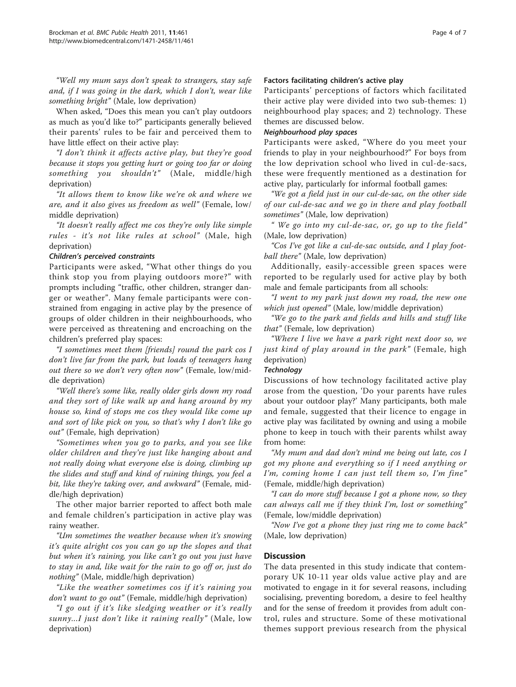"Well my mum says don't speak to strangers, stay safe and, if I was going in the dark, which I don't, wear like something bright" (Male, low deprivation)

When asked, "Does this mean you can't play outdoors as much as you'd like to?" participants generally believed their parents' rules to be fair and perceived them to have little effect on their active play:

"I don't think it affects active play, but they're good because it stops you getting hurt or going too far or doing something you shouldn't" (Male, middle/high deprivation)

"It allows them to know like we're ok and where we are, and it also gives us freedom as well" (Female, low/ middle deprivation)

"It doesn't really affect me cos they're only like simple rules - it's not like rules at school" (Male, high deprivation)

#### Children's perceived constraints

Participants were asked, "What other things do you think stop you from playing outdoors more?" with prompts including "traffic, other children, stranger danger or weather". Many female participants were constrained from engaging in active play by the presence of groups of older children in their neighbourhoods, who were perceived as threatening and encroaching on the children's preferred play spaces:

"I sometimes meet them [friends] round the park cos I don't live far from the park, but loads of teenagers hang out there so we don't very often now" (Female, low/middle deprivation)

"Well there's some like, really older girls down my road and they sort of like walk up and hang around by my house so, kind of stops me cos they would like come up and sort of like pick on you, so that's why I don't like go out" (Female, high deprivation)

"Sometimes when you go to parks, and you see like older children and they're just like hanging about and not really doing what everyone else is doing, climbing up the slides and stuff and kind of ruining things, you feel a bit, like they're taking over, and awkward" (Female, middle/high deprivation)

The other major barrier reported to affect both male and female children's participation in active play was rainy weather.

"Um sometimes the weather because when it's snowing it's quite alright cos you can go up the slopes and that but when it's raining, you like can't go out you just have to stay in and, like wait for the rain to go off or, just do nothing" (Male, middle/high deprivation)

"Like the weather sometimes cos if it's raining you don't want to go out" (Female, middle/high deprivation)

"I go out if it's like sledging weather or it's really sunny...I just don't like it raining really" (Male, low deprivation)

#### Factors facilitating children's active play

Participants' perceptions of factors which facilitated their active play were divided into two sub-themes: 1) neighbourhood play spaces; and 2) technology. These themes are discussed below.

#### Neighbourhood play spaces

Participants were asked, "Where do you meet your friends to play in your neighbourhood?" For boys from the low deprivation school who lived in cul-de-sacs, these were frequently mentioned as a destination for active play, particularly for informal football games:

"We got a field just in our cul-de-sac, on the other side of our cul-de-sac and we go in there and play football sometimes" (Male, low deprivation)

" We go into my cul-de-sac, or, go up to the field" (Male, low deprivation)

"Cos I've got like a cul-de-sac outside, and I play football there" (Male, low deprivation)

Additionally, easily-accessible green spaces were reported to be regularly used for active play by both male and female participants from all schools:

"I went to my park just down my road, the new one which just opened" (Male, low/middle deprivation)

"We go to the park and fields and hills and stuff like that" (Female, low deprivation)

"Where I live we have a park right next door so, we just kind of play around in the park" (Female, high deprivation)

#### **Technology**

Discussions of how technology facilitated active play arose from the question, 'Do your parents have rules about your outdoor play?' Many participants, both male and female, suggested that their licence to engage in active play was facilitated by owning and using a mobile phone to keep in touch with their parents whilst away from home:

"My mum and dad don't mind me being out late, cos I got my phone and everything so if I need anything or I'm, coming home I can just tell them so, I'm fine" (Female, middle/high deprivation)

"I can do more stuff because I got a phone now, so they can always call me if they think I'm, lost or something" (Female, low/middle deprivation)

"Now I've got a phone they just ring me to come back" (Male, low deprivation)

#### **Discussion**

The data presented in this study indicate that contemporary UK 10-11 year olds value active play and are motivated to engage in it for several reasons, including socialising, preventing boredom, a desire to feel healthy and for the sense of freedom it provides from adult control, rules and structure. Some of these motivational themes support previous research from the physical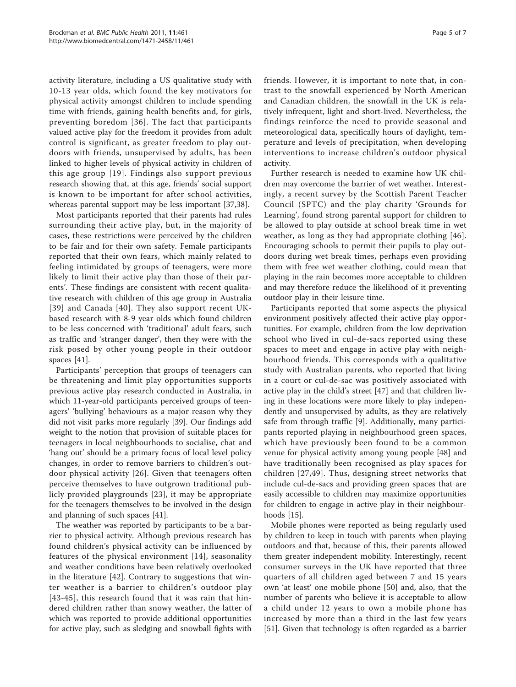activity literature, including a US qualitative study with 10-13 year olds, which found the key motivators for physical activity amongst children to include spending time with friends, gaining health benefits and, for girls, preventing boredom [[36](#page-6-0)]. The fact that participants valued active play for the freedom it provides from adult control is significant, as greater freedom to play outdoors with friends, unsupervised by adults, has been linked to higher levels of physical activity in children of this age group [[19](#page-6-0)]. Findings also support previous research showing that, at this age, friends' social support is known to be important for after school activities, whereas parental support may be less important [\[37,38\]](#page-6-0).

Most participants reported that their parents had rules surrounding their active play, but, in the majority of cases, these restrictions were perceived by the children to be fair and for their own safety. Female participants reported that their own fears, which mainly related to feeling intimidated by groups of teenagers, were more likely to limit their active play than those of their parents'. These findings are consistent with recent qualitative research with children of this age group in Australia [[39\]](#page-6-0) and Canada [[40\]](#page-6-0). They also support recent UKbased research with 8-9 year olds which found children to be less concerned with 'traditional' adult fears, such as traffic and 'stranger danger', then they were with the risk posed by other young people in their outdoor spaces [[41\]](#page-6-0).

Participants' perception that groups of teenagers can be threatening and limit play opportunities supports previous active play research conducted in Australia, in which 11-year-old participants perceived groups of teenagers' 'bullying' behaviours as a major reason why they did not visit parks more regularly [[39](#page-6-0)]. Our findings add weight to the notion that provision of suitable places for teenagers in local neighbourhoods to socialise, chat and 'hang out' should be a primary focus of local level policy changes, in order to remove barriers to children's outdoor physical activity [[26](#page-6-0)]. Given that teenagers often perceive themselves to have outgrown traditional publicly provided playgrounds [[23\]](#page-6-0), it may be appropriate for the teenagers themselves to be involved in the design and planning of such spaces [\[41\]](#page-6-0).

The weather was reported by participants to be a barrier to physical activity. Although previous research has found children's physical activity can be influenced by features of the physical environment [[14](#page-5-0)], seasonality and weather conditions have been relatively overlooked in the literature [[42\]](#page-6-0). Contrary to suggestions that winter weather is a barrier to children's outdoor play [[43-45\]](#page-6-0), this research found that it was rain that hindered children rather than snowy weather, the latter of which was reported to provide additional opportunities for active play, such as sledging and snowball fights with friends. However, it is important to note that, in contrast to the snowfall experienced by North American and Canadian children, the snowfall in the UK is relatively infrequent, light and short-lived. Nevertheless, the findings reinforce the need to provide seasonal and meteorological data, specifically hours of daylight, temperature and levels of precipitation, when developing interventions to increase children's outdoor physical activity.

Further research is needed to examine how UK children may overcome the barrier of wet weather. Interestingly, a recent survey by the Scottish Parent Teacher Council (SPTC) and the play charity 'Grounds for Learning', found strong parental support for children to be allowed to play outside at school break time in wet weather, as long as they had appropriate clothing [[46](#page-6-0)]. Encouraging schools to permit their pupils to play outdoors during wet break times, perhaps even providing them with free wet weather clothing, could mean that playing in the rain becomes more acceptable to children and may therefore reduce the likelihood of it preventing outdoor play in their leisure time.

Participants reported that some aspects the physical environment positively affected their active play opportunities. For example, children from the low deprivation school who lived in cul-de-sacs reported using these spaces to meet and engage in active play with neighbourhood friends. This corresponds with a qualitative study with Australian parents, who reported that living in a court or cul-de-sac was positively associated with active play in the child's street [[47](#page-6-0)] and that children living in these locations were more likely to play independently and unsupervised by adults, as they are relatively safe from through traffic [[9\]](#page-5-0). Additionally, many participants reported playing in neighbourhood green spaces, which have previously been found to be a common venue for physical activity among young people [\[48](#page-6-0)] and have traditionally been recognised as play spaces for children [[27](#page-6-0),[49](#page-6-0)]. Thus, designing street networks that include cul-de-sacs and providing green spaces that are easily accessible to children may maximize opportunities for children to engage in active play in their neighbourhoods [[15](#page-5-0)].

Mobile phones were reported as being regularly used by children to keep in touch with parents when playing outdoors and that, because of this, their parents allowed them greater independent mobility. Interestingly, recent consumer surveys in the UK have reported that three quarters of all children aged between 7 and 15 years own 'at least' one mobile phone [\[50](#page-6-0)] and, also, that the number of parents who believe it is acceptable to allow a child under 12 years to own a mobile phone has increased by more than a third in the last few years [[51\]](#page-6-0). Given that technology is often regarded as a barrier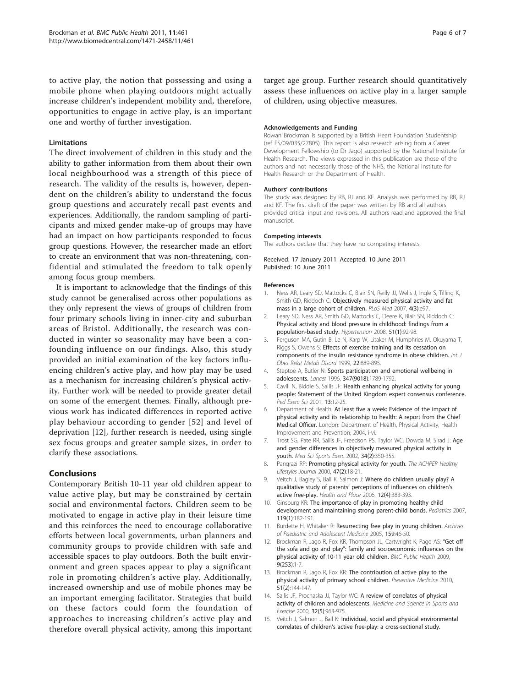<span id="page-5-0"></span>to active play, the notion that possessing and using a mobile phone when playing outdoors might actually increase children's independent mobility and, therefore, opportunities to engage in active play, is an important one and worthy of further investigation.

#### **Limitations**

The direct involvement of children in this study and the ability to gather information from them about their own local neighbourhood was a strength of this piece of research. The validity of the results is, however, dependent on the children's ability to understand the focus group questions and accurately recall past events and experiences. Additionally, the random sampling of participants and mixed gender make-up of groups may have had an impact on how participants responded to focus group questions. However, the researcher made an effort to create an environment that was non-threatening, confidential and stimulated the freedom to talk openly among focus group members.

It is important to acknowledge that the findings of this study cannot be generalised across other populations as they only represent the views of groups of children from four primary schools living in inner-city and suburban areas of Bristol. Additionally, the research was conducted in winter so seasonality may have been a confounding influence on our findings. Also, this study provided an initial examination of the key factors influencing children's active play, and how play may be used as a mechanism for increasing children's physical activity. Further work will be needed to provide greater detail on some of the emergent themes. Finally, although previous work has indicated differences in reported active play behaviour according to gender [[52\]](#page-6-0) and level of deprivation [12], further research is needed, using single sex focus groups and greater sample sizes, in order to clarify these associations.

#### Conclusions

Contemporary British 10-11 year old children appear to value active play, but may be constrained by certain social and environmental factors. Children seem to be motivated to engage in active play in their leisure time and this reinforces the need to encourage collaborative efforts between local governments, urban planners and community groups to provide children with safe and accessible spaces to play outdoors. Both the built environment and green spaces appear to play a significant role in promoting children's active play. Additionally, increased ownership and use of mobile phones may be an important emerging facilitator. Strategies that build on these factors could form the foundation of approaches to increasing children's active play and therefore overall physical activity, among this important target age group. Further research should quantitatively assess these influences on active play in a larger sample of children, using objective measures.

#### Acknowledgements and Funding

Rowan Brockman is supported by a British Heart Foundation Studentship (ref FS/09/035/27805). This report is also research arising from a Career Development Fellowship (to Dr Jago) supported by the National Institute for Health Research. The views expressed in this publication are those of the authors and not necessarily those of the NHS, the National Institute for Health Research or the Department of Health.

#### Authors' contributions

The study was designed by RB, RJ and KF. Analysis was performed by RB, RJ and KF. The first draft of the paper was written by RB and all authors provided critical input and revisions. All authors read and approved the final manuscript.

#### Competing interests

The authors declare that they have no competing interests.

Received: 17 January 2011 Accepted: 10 June 2011 Published: 10 June 2011

#### References

- 1. Ness AR, Leary SD, Mattocks C, Blair SN, Reilly JJ, Wells J, Ingle S, Tilling K, Smith GD, Riddoch C: [Objectively measured physical activity and fat](http://www.ncbi.nlm.nih.gov/pubmed/17388663?dopt=Abstract) [mass in a large cohort of children.](http://www.ncbi.nlm.nih.gov/pubmed/17388663?dopt=Abstract) PLoS Med 2007, 4(3):e97.
- 2. Leary SD, Ness AR, Smith GD, Mattocks C, Deere K, Blair SN, Riddoch C: [Physical activity and blood pressure in childhood: findings from a](http://www.ncbi.nlm.nih.gov/pubmed/18071055?dopt=Abstract) [population-based study.](http://www.ncbi.nlm.nih.gov/pubmed/18071055?dopt=Abstract) Hypertension 2008, 51(1):92-98.
- 3. Ferguson MA, Gutin B, Le N, Karp W, Litaker M, Humphries M, Okuyama T, Riggs S, Owens S: Effects of exercise training and its cessation on components of the insulin resistance syndrome in obese children. Int J Obes Relat Metab Disord 1999, 22:889-895.
- 4. Steptoe A, Butler N: [Sports participation and emotional wellbeing in](http://www.ncbi.nlm.nih.gov/pubmed/8667922?dopt=Abstract) [adolescents.](http://www.ncbi.nlm.nih.gov/pubmed/8667922?dopt=Abstract) Lancet 1996, 347(9018):1789-1792.
- 5. Cavill N, Biddle S, Sallis JF: Health enhancing physical activity for young people: Statement of the United Kingdom expert consensus conference. Ped Exerc Sci 2001, 13:12-25.
- 6. Department of Health: At least five a week: Evidence of the impact of physical activity and its relationship to health: A report from the Chief Medical Officer. London: Department of Health, Physical Activity, Health Improvement and Prevention; 2004, i-vi.
- 7. Trost SG, Pate RR, Sallis JF, Freedson PS, Taylor WC, Dowda M, Sirad J: [Age](http://www.ncbi.nlm.nih.gov/pubmed/11828247?dopt=Abstract) [and gender differences in objectively measured physical activity in](http://www.ncbi.nlm.nih.gov/pubmed/11828247?dopt=Abstract) [youth.](http://www.ncbi.nlm.nih.gov/pubmed/11828247?dopt=Abstract) Med Sci Sports Exerc 2002, 34(2):350-355.
- 8. Pangrazi RP: Promoting physical activity for youth. The ACHPER Healthy Lifestyles Journal 2000, 47(2):18-21.
- 9. Veitch J, Bagley S, Ball K, Salmon J: [Where do children usually play? A](http://www.ncbi.nlm.nih.gov/pubmed/16814197?dopt=Abstract) qualitative study of parents' [perceptions of influences on children](http://www.ncbi.nlm.nih.gov/pubmed/16814197?dopt=Abstract)'s [active free-play.](http://www.ncbi.nlm.nih.gov/pubmed/16814197?dopt=Abstract) Health and Place 2006, 12(4):383-393.
- 10. Ginsburg KR: [The importance of play in promoting healthy child](http://www.ncbi.nlm.nih.gov/pubmed/17200287?dopt=Abstract) [development and maintaining strong parent-child bonds.](http://www.ncbi.nlm.nih.gov/pubmed/17200287?dopt=Abstract) Pediatrics 2007, 119(1):182-191.
- 11. Burdette H, Whitaker R: Resurrecting free play in young children. Archives of Paediatric and Adolescent Medicine 2005, 159:46-50.
- 12. Brockman R, Jago R, Fox KR, Thompson JL, Cartwright K, Page AS: "[Get off](http://www.ncbi.nlm.nih.gov/pubmed/19121216?dopt=Abstract) [the sofa and go and play": family and socioeconomic influences on the](http://www.ncbi.nlm.nih.gov/pubmed/19121216?dopt=Abstract) [physical activity of 10-11 year old children.](http://www.ncbi.nlm.nih.gov/pubmed/19121216?dopt=Abstract) BMC Public Health 2009, 9(253):1-7.
- 13. Brockman R, Jago R, Fox KR: [The contribution of active play to the](http://www.ncbi.nlm.nih.gov/pubmed/20561971?dopt=Abstract) [physical activity of primary school children.](http://www.ncbi.nlm.nih.gov/pubmed/20561971?dopt=Abstract) Preventive Medicine 2010, 51(2):144-147.
- 14. Sallis JF, Prochaska JJ, Taylor WC: [A review of correlates of physical](http://www.ncbi.nlm.nih.gov/pubmed/10795788?dopt=Abstract) [activity of children and adolescents.](http://www.ncbi.nlm.nih.gov/pubmed/10795788?dopt=Abstract) Medicine and Science in Sports and Exercise 2000, 32(5):963-975.
- 15. Veitch J, Salmon J, Ball K: [Individual, social and physical environmental](http://www.ncbi.nlm.nih.gov/pubmed/20145731?dopt=Abstract) correlates of children'[s active free-play: a cross-sectional study.](http://www.ncbi.nlm.nih.gov/pubmed/20145731?dopt=Abstract)